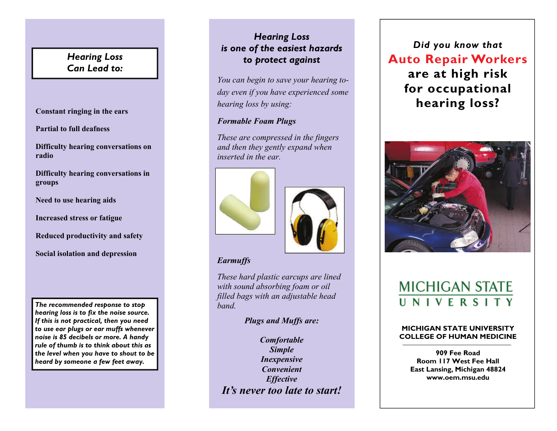## *Hearing Loss Can Lead to:*

**Constant ringing in the ears** 

**Partial to full deafness** 

**Difficulty hearing conversations on radio** 

**Difficulty hearing conversations in groups** 

**Need to use hearing aids** 

**Increased stress or fatigue** 

**Reduced productivity and safety** 

**Social isolation and depression** 

*The recommended response to stop hearing loss is to fix the noise source. If this is not practical, then you need to use ear plugs or ear muffs whenever noise is 85 decibels or more. A handy rule of thumb is to think about this as the level when you have to shout to be heard by someone a few feet away.* 

## *Hearing Loss is one of the easiest hazards to protect against*

*You can begin to save your hearing today even if you have experienced some hearing loss by using:* 

### *Formable Foam Plugs*

*These are compressed in the fingers and then they gently expand when inserted in the ear.*





### *Earmuffs*

*These hard plastic earcups are lined with sound absorbing foam or oil filled bags with an adjustable head band.*

### *Plugs and Muffs are:*

*Comfortable Simple Inexpensive Convenient Effective It's never too late to start!* 

*Did you know that*  **Auto Repair Workers are at high risk for occupational hearing loss?**



# **MICHIGAN STATE** UNIVERSITY

#### **MICHIGAN STATE UNIVERSITY COLLEGE OF HUMAN MEDICINE**

**909 Fee Road Room 117 West Fee Hall East Lansing, Michigan 48824 www.oem.msu.edu**